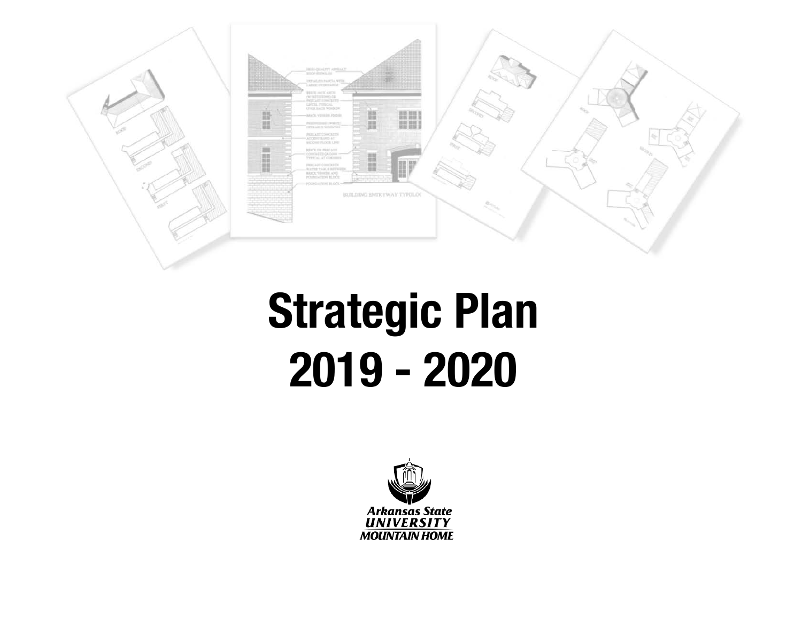

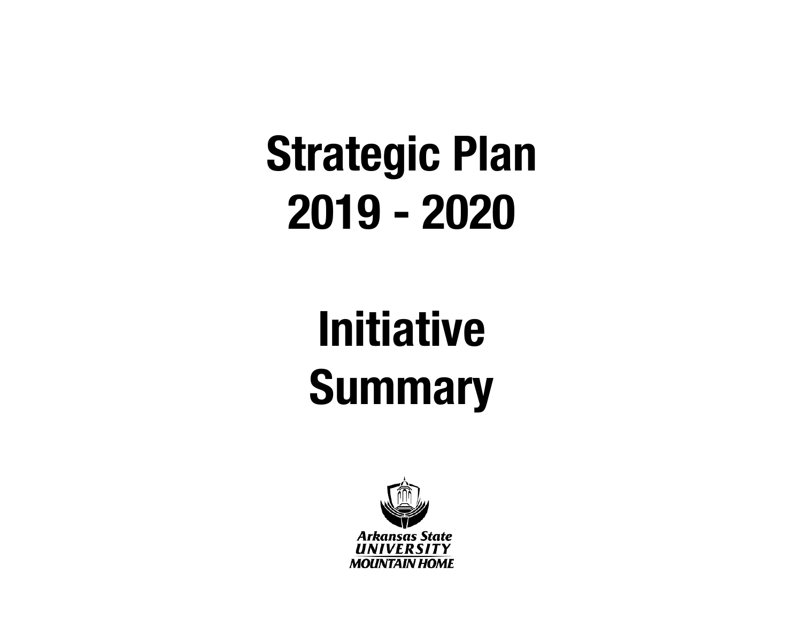## **Initiative Summary**

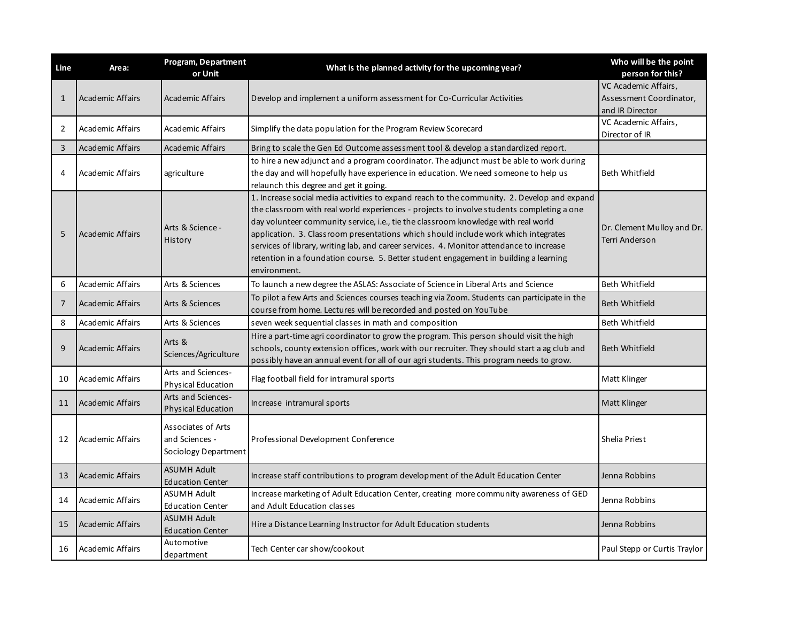| Line           | Area:                   | <b>Program, Department</b><br>or Unit                        | What is the planned activity for the upcoming year?                                                                                                                                                                                                                                                                                                                                                                                                                                                                                                                       | Who will be the point<br>person for this?                          |
|----------------|-------------------------|--------------------------------------------------------------|---------------------------------------------------------------------------------------------------------------------------------------------------------------------------------------------------------------------------------------------------------------------------------------------------------------------------------------------------------------------------------------------------------------------------------------------------------------------------------------------------------------------------------------------------------------------------|--------------------------------------------------------------------|
| $\mathbf{1}$   | <b>Academic Affairs</b> | <b>Academic Affairs</b>                                      | Develop and implement a uniform assessment for Co-Curricular Activities                                                                                                                                                                                                                                                                                                                                                                                                                                                                                                   | VC Academic Affairs,<br>Assessment Coordinator,<br>and IR Director |
| $\overline{2}$ | <b>Academic Affairs</b> | Academic Affairs                                             | Simplify the data population for the Program Review Scorecard                                                                                                                                                                                                                                                                                                                                                                                                                                                                                                             | VC Academic Affairs,<br>Director of IR                             |
| 3              | <b>Academic Affairs</b> | <b>Academic Affairs</b>                                      | Bring to scale the Gen Ed Outcome assessment tool & develop a standardized report.                                                                                                                                                                                                                                                                                                                                                                                                                                                                                        |                                                                    |
| 4              | <b>Academic Affairs</b> | agriculture                                                  | to hire a new adjunct and a program coordinator. The adjunct must be able to work during<br>the day and will hopefully have experience in education. We need someone to help us<br>relaunch this degree and get it going.                                                                                                                                                                                                                                                                                                                                                 | <b>Beth Whitfield</b>                                              |
| 5              | <b>Academic Affairs</b> | Arts & Science -<br>History                                  | 1. Increase social media activities to expand reach to the community. 2. Develop and expand<br>the classroom with real world experiences - projects to involve students completing a one<br>day volunteer community service, i.e., tie the classroom knowledge with real world<br>application. 3. Classroom presentations which should include work which integrates<br>services of library, writing lab, and career services. 4. Monitor attendance to increase<br>retention in a foundation course. 5. Better student engagement in building a learning<br>environment. | Dr. Clement Mulloy and Dr.<br>Terri Anderson                       |
| 6              | <b>Academic Affairs</b> | Arts & Sciences                                              | To launch a new degree the ASLAS: Associate of Science in Liberal Arts and Science                                                                                                                                                                                                                                                                                                                                                                                                                                                                                        | Beth Whitfield                                                     |
| $\overline{7}$ | <b>Academic Affairs</b> | Arts & Sciences                                              | To pilot a few Arts and Sciences courses teaching via Zoom. Students can participate in the<br>course from home. Lectures will be recorded and posted on YouTube                                                                                                                                                                                                                                                                                                                                                                                                          | <b>Beth Whitfield</b>                                              |
| 8              | <b>Academic Affairs</b> | Arts & Sciences                                              | seven week sequential classes in math and composition                                                                                                                                                                                                                                                                                                                                                                                                                                                                                                                     | <b>Beth Whitfield</b>                                              |
| 9              | <b>Academic Affairs</b> | Arts &<br>Sciences/Agriculture                               | Hire a part-time agri coordinator to grow the program. This person should visit the high<br>schools, county extension offices, work with our recruiter. They should start a ag club and<br>possibly have an annual event for all of our agri students. This program needs to grow.                                                                                                                                                                                                                                                                                        | <b>Beth Whitfield</b>                                              |
| 10             | <b>Academic Affairs</b> | Arts and Sciences-<br><b>Physical Education</b>              | Flag football field for intramural sports                                                                                                                                                                                                                                                                                                                                                                                                                                                                                                                                 | Matt Klinger                                                       |
| 11             | <b>Academic Affairs</b> | Arts and Sciences-<br><b>Physical Education</b>              | Increase intramural sports                                                                                                                                                                                                                                                                                                                                                                                                                                                                                                                                                | Matt Klinger                                                       |
| 12             | <b>Academic Affairs</b> | Associates of Arts<br>and Sciences -<br>Sociology Department | Professional Development Conference                                                                                                                                                                                                                                                                                                                                                                                                                                                                                                                                       | Shelia Priest                                                      |
| 13             | <b>Academic Affairs</b> | <b>ASUMH Adult</b><br><b>Education Center</b>                | Increase staff contributions to program development of the Adult Education Center                                                                                                                                                                                                                                                                                                                                                                                                                                                                                         | Jenna Robbins                                                      |
| 14             | <b>Academic Affairs</b> | ASUMH Adult<br><b>Education Center</b>                       | Increase marketing of Adult Education Center, creating more community awareness of GED<br>and Adult Education classes                                                                                                                                                                                                                                                                                                                                                                                                                                                     | Jenna Robbins                                                      |
| 15             | <b>Academic Affairs</b> | <b>ASUMH Adult</b><br><b>Education Center</b>                | Hire a Distance Learning Instructor for Adult Education students                                                                                                                                                                                                                                                                                                                                                                                                                                                                                                          | Jenna Robbins                                                      |
| 16             | Academic Affairs        | Automotive<br>department                                     | Tech Center car show/cookout                                                                                                                                                                                                                                                                                                                                                                                                                                                                                                                                              | Paul Stepp or Curtis Traylor                                       |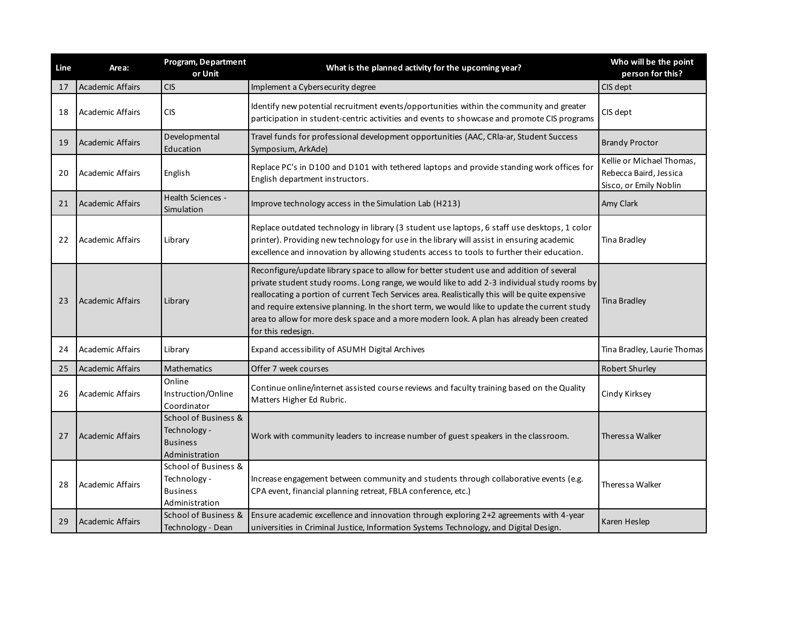| Line | Area:                   | Program, Department<br>or Unit                                            | What is the planned activity for the upcoming year?                                                                                                                                                                                                                                                                                                                                                                                                                                                            | Who will be the point<br>person for this?                                     |
|------|-------------------------|---------------------------------------------------------------------------|----------------------------------------------------------------------------------------------------------------------------------------------------------------------------------------------------------------------------------------------------------------------------------------------------------------------------------------------------------------------------------------------------------------------------------------------------------------------------------------------------------------|-------------------------------------------------------------------------------|
| 17   | <b>Academic Affairs</b> | <b>CIS</b>                                                                | Implement a Cybersecurity degree                                                                                                                                                                                                                                                                                                                                                                                                                                                                               | CIS dept                                                                      |
| 18   | Academic Affairs        | CIS                                                                       | Identify new potential recruitment events/opportunities within the community and greater<br>participation in student-centric activities and events to showcase and promote CIS programs                                                                                                                                                                                                                                                                                                                        | CIS dept                                                                      |
| 19   | Academic Affairs        | Developmental<br>Education                                                | Travel funds for professional development opportunities (AAC, CRIa-ar, Student Success<br>Symposium, ArkAde)                                                                                                                                                                                                                                                                                                                                                                                                   | <b>Brandy Proctor</b>                                                         |
| 20   | <b>Academic Affairs</b> | English                                                                   | Replace PC's in D100 and D101 with tethered laptops and provide standing work offices for<br>English department instructors.                                                                                                                                                                                                                                                                                                                                                                                   | Kellie or Michael Thomas,<br>Rebecca Baird, Jessica<br>Sisco, or Emily Noblin |
| 21   | Academic Affairs        | Health Sciences -<br>Simulation                                           | Improve technology access in the Simulation Lab (H213)                                                                                                                                                                                                                                                                                                                                                                                                                                                         | Amy Clark                                                                     |
| 22   | <b>Academic Affairs</b> | Library                                                                   | Replace outdated technology in library (3 student use laptops, 6 staff use desktops, 1 color<br>printer). Providing new technology for use in the library will assist in ensuring academic<br>excellence and innovation by allowing students access to tools to further their education.                                                                                                                                                                                                                       | Tina Bradley                                                                  |
| 23   | <b>Academic Affairs</b> | Library                                                                   | Reconfigure/update library space to allow for better student use and addition of several<br>private student study rooms. Long range, we would like to add 2-3 individual study rooms by<br>reallocating a portion of current Tech Services area. Realistically this will be quite expensive<br>and require extensive planning. In the short term, we would like to update the current study<br>area to allow for more desk space and a more modern look. A plan has already been created<br>for this redesign. | <b>Tina Bradley</b>                                                           |
| 24   | <b>Academic Affairs</b> | Library                                                                   | Expand accessibility of ASUMH Digital Archives                                                                                                                                                                                                                                                                                                                                                                                                                                                                 | Tina Bradley, Laurie Thomas                                                   |
| 25   | <b>Academic Affairs</b> | Mathematics                                                               | Offer 7 week courses                                                                                                                                                                                                                                                                                                                                                                                                                                                                                           | Robert Shurley                                                                |
| 26   | <b>Academic Affairs</b> | Online<br>Instruction/Online<br>Coordinator                               | Continue online/internet assisted course reviews and faculty training based on the Quality<br>Matters Higher Ed Rubric.                                                                                                                                                                                                                                                                                                                                                                                        | Cindy Kirksey                                                                 |
| 27   | Academic Affairs        | School of Business &<br>Technology -<br><b>Business</b><br>Administration | Work with community leaders to increase number of guest speakers in the classroom.                                                                                                                                                                                                                                                                                                                                                                                                                             | Theressa Walker                                                               |
| 28   | <b>Academic Affairs</b> | School of Business &<br>Technology -<br><b>Business</b><br>Administration | Increase engagement between community and students through collaborative events (e.g.<br>CPA event, financial planning retreat, FBLA conference, etc.)                                                                                                                                                                                                                                                                                                                                                         | Theressa Walker                                                               |
| 29   | Academic Affairs        | School of Business &<br>Technology - Dean                                 | Ensure academic excellence and innovation through exploring 2+2 agreements with 4-year<br>universities in Criminal Justice, Information Systems Technology, and Digital Design.                                                                                                                                                                                                                                                                                                                                | Karen Heslep                                                                  |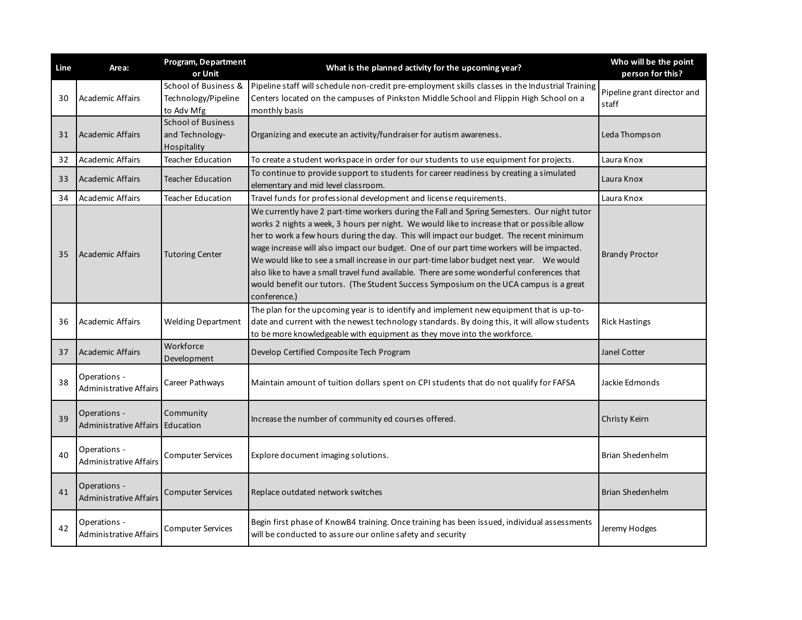| Line | Area:                                              | Program, Department<br>or Unit                              | What is the planned activity for the upcoming year?                                                                                                                                                                                                                                                                                                                                                                                                                                                                                                                                                                                                                                  | Who will be the point<br>person for this? |
|------|----------------------------------------------------|-------------------------------------------------------------|--------------------------------------------------------------------------------------------------------------------------------------------------------------------------------------------------------------------------------------------------------------------------------------------------------------------------------------------------------------------------------------------------------------------------------------------------------------------------------------------------------------------------------------------------------------------------------------------------------------------------------------------------------------------------------------|-------------------------------------------|
| 30   | <b>Academic Affairs</b>                            | School of Business &<br>Technology/Pipeline<br>to Adv Mfg   | Pipeline staff will schedule non-credit pre-employment skills classes in the Industrial Training<br>Centers located on the campuses of Pinkston Middle School and Flippin High School on a<br>monthly basis                                                                                                                                                                                                                                                                                                                                                                                                                                                                          | Pipeline grant director and<br>staff      |
| 31   | <b>Academic Affairs</b>                            | <b>School of Business</b><br>and Technology-<br>Hospitality | Organizing and execute an activity/fundraiser for autism awareness.                                                                                                                                                                                                                                                                                                                                                                                                                                                                                                                                                                                                                  | Leda Thompson                             |
| 32   | <b>Academic Affairs</b>                            | Teacher Education                                           | To create a student workspace in order for our students to use equipment for projects.                                                                                                                                                                                                                                                                                                                                                                                                                                                                                                                                                                                               | Laura Knox                                |
| 33   | <b>Academic Affairs</b>                            | Teacher Education                                           | To continue to provide support to students for career readiness by creating a simulated<br>elementary and mid level classroom.                                                                                                                                                                                                                                                                                                                                                                                                                                                                                                                                                       | Laura Knox                                |
| 34   | <b>Academic Affairs</b>                            | <b>Teacher Education</b>                                    | Travel funds for professional development and license requirements.                                                                                                                                                                                                                                                                                                                                                                                                                                                                                                                                                                                                                  | Laura Knox                                |
| 35   | <b>Academic Affairs</b>                            | <b>Tutoring Center</b>                                      | We currently have 2 part-time workers during the Fall and Spring Semesters. Our night tutor<br>works 2 nights a week, 3 hours per night. We would like to increase that or possible allow<br>her to work a few hours during the day. This will impact our budget. The recent minimum<br>wage increase will also impact our budget. One of our part time workers will be impacted.<br>We would like to see a small increase in our part-time labor budget next year.  We would<br>also like to have a small travel fund available. There are some wonderful conferences that<br>would benefit our tutors. (The Student Success Symposium on the UCA campus is a great<br>conference.) | <b>Brandy Proctor</b>                     |
| 36   | <b>Academic Affairs</b>                            | <b>Welding Department</b>                                   | The plan for the upcoming year is to identify and implement new equipment that is up-to-<br>date and current with the newest technology standards. By doing this, it will allow students<br>to be more knowledgeable with equipment as they move into the workforce.                                                                                                                                                                                                                                                                                                                                                                                                                 | <b>Rick Hastings</b>                      |
| 37   | <b>Academic Affairs</b>                            | Workforce<br>Development                                    | Develop Certified Composite Tech Program                                                                                                                                                                                                                                                                                                                                                                                                                                                                                                                                                                                                                                             | Janel Cotter                              |
| 38   | Operations -<br><b>Administrative Affairs</b>      | Career Pathways                                             | Maintain amount of tuition dollars spent on CPI students that do not qualify for FAFSA                                                                                                                                                                                                                                                                                                                                                                                                                                                                                                                                                                                               | Jackie Edmonds                            |
| 39   | Operations -<br>Administrative Affairs   Education | Community                                                   | Increase the number of community ed courses offered.                                                                                                                                                                                                                                                                                                                                                                                                                                                                                                                                                                                                                                 | Christy Keirn                             |
| 40   | Operations -<br><b>Administrative Affairs</b>      | <b>Computer Services</b>                                    | Explore document imaging solutions.                                                                                                                                                                                                                                                                                                                                                                                                                                                                                                                                                                                                                                                  | Brian Shedenhelm                          |
| 41   | Operations -<br><b>Administrative Affairs</b>      | <b>Computer Services</b>                                    | Replace outdated network switches                                                                                                                                                                                                                                                                                                                                                                                                                                                                                                                                                                                                                                                    | Brian Shedenhelm                          |
| 42   | Operations -<br><b>Administrative Affairs</b>      | <b>Computer Services</b>                                    | Begin first phase of KnowB4 training. Once training has been issued, individual assessments<br>will be conducted to assure our online safety and security                                                                                                                                                                                                                                                                                                                                                                                                                                                                                                                            | Jeremy Hodges                             |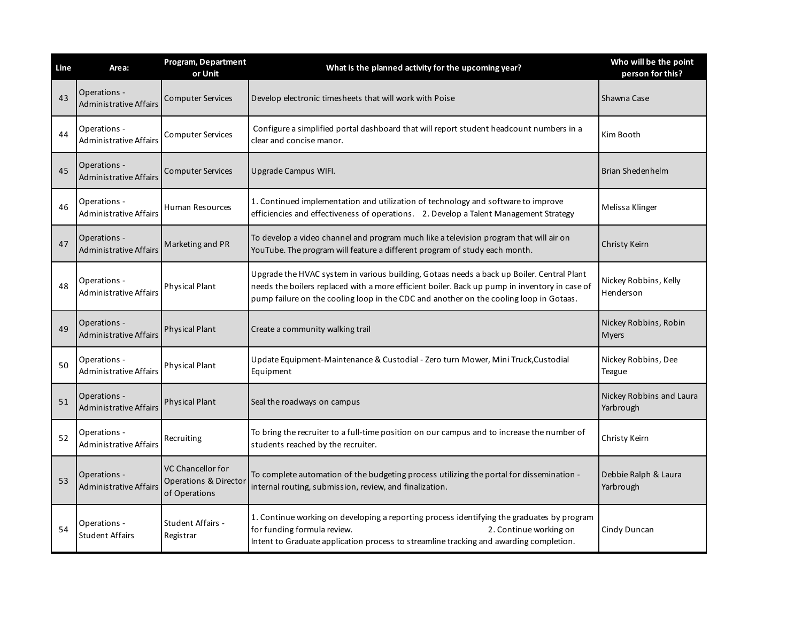| Line | Area:                                         | Program, Department<br>or Unit                              | What is the planned activity for the upcoming year?                                                                                                                                                                                                                                  | Who will be the point<br>person for this? |
|------|-----------------------------------------------|-------------------------------------------------------------|--------------------------------------------------------------------------------------------------------------------------------------------------------------------------------------------------------------------------------------------------------------------------------------|-------------------------------------------|
| 43   | Operations -<br><b>Administrative Affairs</b> | <b>Computer Services</b>                                    | Develop electronic timesheets that will work with Poise                                                                                                                                                                                                                              | Shawna Case                               |
| 44   | Operations -<br><b>Administrative Affairs</b> | <b>Computer Services</b>                                    | Configure a simplified portal dashboard that will report student headcount numbers in a<br>clear and concise manor.                                                                                                                                                                  | Kim Booth                                 |
| 45   | Operations -<br><b>Administrative Affairs</b> | <b>Computer Services</b>                                    | Upgrade Campus WIFI.                                                                                                                                                                                                                                                                 | Brian Shedenhelm                          |
| 46   | Operations -<br><b>Administrative Affairs</b> | Human Resources                                             | 1. Continued implementation and utilization of technology and software to improve<br>efficiencies and effectiveness of operations. 2. Develop a Talent Management Strategy                                                                                                           | Melissa Klinger                           |
| 47   | Operations -<br><b>Administrative Affairs</b> | Marketing and PR                                            | To develop a video channel and program much like a television program that will air on<br>YouTube. The program will feature a different program of study each month.                                                                                                                 | Christy Keirn                             |
| 48   | Operations -<br><b>Administrative Affairs</b> | <b>Physical Plant</b>                                       | Upgrade the HVAC system in various building, Gotaas needs a back up Boiler. Central Plant<br>needs the boilers replaced with a more efficient boiler. Back up pump in inventory in case of<br>pump failure on the cooling loop in the CDC and another on the cooling loop in Gotaas. | Nickey Robbins, Kelly<br>Henderson        |
| 49   | Operations -<br><b>Administrative Affairs</b> | <b>Physical Plant</b>                                       | Create a community walking trail                                                                                                                                                                                                                                                     | Nickey Robbins, Robin<br>Myers            |
| 50   | Operations -<br><b>Administrative Affairs</b> | <b>Physical Plant</b>                                       | Update Equipment-Maintenance & Custodial - Zero turn Mower, Mini Truck, Custodial<br>Equipment                                                                                                                                                                                       | Nickey Robbins, Dee<br>Teague             |
| 51   | Operations -<br><b>Administrative Affairs</b> | <b>Physical Plant</b>                                       | Seal the roadways on campus                                                                                                                                                                                                                                                          | Nickey Robbins and Laura<br>Yarbrough     |
| 52   | Operations -<br><b>Administrative Affairs</b> | Recruiting                                                  | To bring the recruiter to a full-time position on our campus and to increase the number of<br>students reached by the recruiter.                                                                                                                                                     | Christy Keirn                             |
| 53   | Operations -<br><b>Administrative Affairs</b> | VC Chancellor for<br>Operations & Director<br>of Operations | To complete automation of the budgeting process utilizing the portal for dissemination -<br>internal routing, submission, review, and finalization.                                                                                                                                  | Debbie Ralph & Laura<br>Yarbrough         |
| 54   | Operations -<br><b>Student Affairs</b>        | Student Affairs -<br>Registrar                              | 1. Continue working on developing a reporting process identifying the graduates by program<br>for funding formula review.<br>2. Continue working on<br>Intent to Graduate application process to streamline tracking and awarding completion.                                        | Cindy Duncan                              |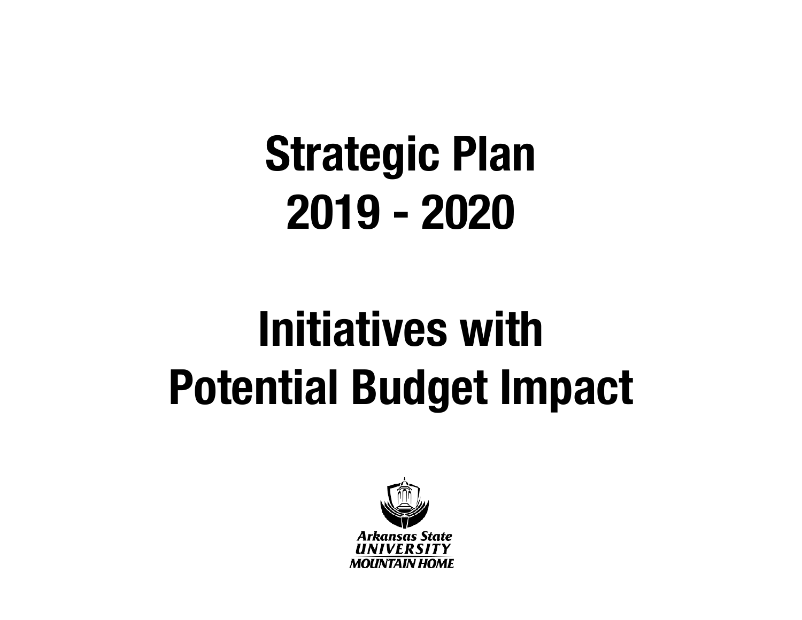## **Initiatives with Potential Budget Impact**

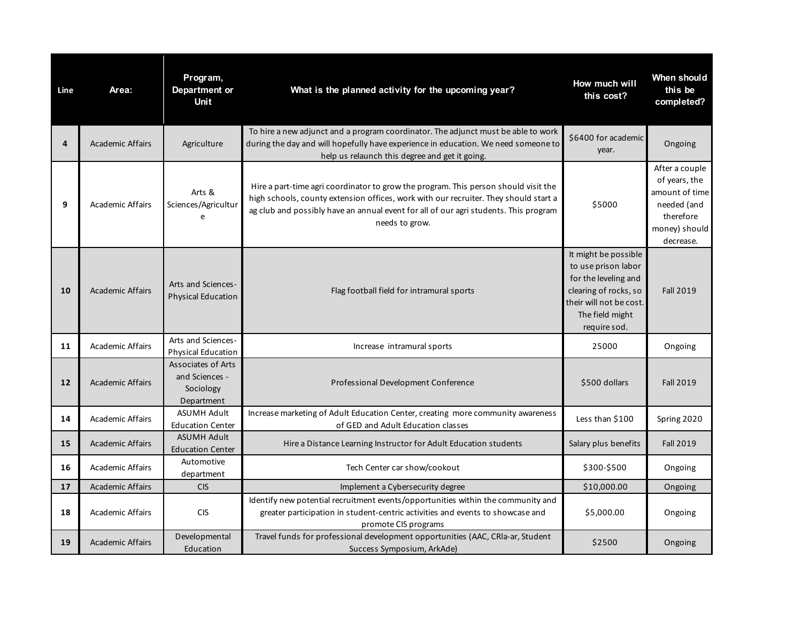| Line | Area:                   | Program,<br>Department or<br><b>Unit</b>                        | What is the planned activity for the upcoming year?                                                                                                                                                                                                                                   | How much will<br>this cost?                                                                                                                                | When should<br>this be<br>completed?                                                                        |
|------|-------------------------|-----------------------------------------------------------------|---------------------------------------------------------------------------------------------------------------------------------------------------------------------------------------------------------------------------------------------------------------------------------------|------------------------------------------------------------------------------------------------------------------------------------------------------------|-------------------------------------------------------------------------------------------------------------|
| 4    | <b>Academic Affairs</b> | Agriculture                                                     | To hire a new adjunct and a program coordinator. The adjunct must be able to work<br>during the day and will hopefully have experience in education. We need someone to<br>help us relaunch this degree and get it going.                                                             | \$6400 for academic<br>year.                                                                                                                               | Ongoing                                                                                                     |
| 9    | <b>Academic Affairs</b> | Arts &<br>Sciences/Agricultur<br>e                              | Hire a part-time agri coordinator to grow the program. This person should visit the<br>high schools, county extension offices, work with our recruiter. They should start a<br>ag club and possibly have an annual event for all of our agri students. This program<br>needs to grow. | \$5000                                                                                                                                                     | After a couple<br>of years, the<br>amount of time<br>needed (and<br>therefore<br>money) should<br>decrease. |
| 10   | <b>Academic Affairs</b> | Arts and Sciences-<br><b>Physical Education</b>                 | Flag football field for intramural sports                                                                                                                                                                                                                                             | It might be possible<br>to use prison labor<br>for the leveling and<br>clearing of rocks, so<br>their will not be cost.<br>The field might<br>require sod. | <b>Fall 2019</b>                                                                                            |
| 11   | <b>Academic Affairs</b> | Arts and Sciences-<br><b>Physical Education</b>                 | Increase intramural sports                                                                                                                                                                                                                                                            | 25000                                                                                                                                                      | Ongoing                                                                                                     |
| 12   | <b>Academic Affairs</b> | Associates of Arts<br>and Sciences -<br>Sociology<br>Department | Professional Development Conference                                                                                                                                                                                                                                                   | \$500 dollars                                                                                                                                              | <b>Fall 2019</b>                                                                                            |
| 14   | <b>Academic Affairs</b> | <b>ASUMH Adult</b><br><b>Education Center</b>                   | Increase marketing of Adult Education Center, creating more community awareness<br>of GED and Adult Education classes                                                                                                                                                                 | Less than \$100                                                                                                                                            | Spring 2020                                                                                                 |
| 15   | <b>Academic Affairs</b> | <b>ASUMH Adult</b><br><b>Education Center</b>                   | Hire a Distance Learning Instructor for Adult Education students                                                                                                                                                                                                                      | Salary plus benefits                                                                                                                                       | <b>Fall 2019</b>                                                                                            |
| 16   | <b>Academic Affairs</b> | Automotive<br>department                                        | Tech Center car show/cookout                                                                                                                                                                                                                                                          | \$300-\$500                                                                                                                                                | Ongoing                                                                                                     |
| 17   | <b>Academic Affairs</b> | <b>CIS</b>                                                      | Implement a Cybersecurity degree                                                                                                                                                                                                                                                      | \$10,000.00                                                                                                                                                | Ongoing                                                                                                     |
| 18   | <b>Academic Affairs</b> | <b>CIS</b>                                                      | Identify new potential recruitment events/opportunities within the community and<br>greater participation in student-centric activities and events to showcase and<br>promote CIS programs                                                                                            | \$5,000.00                                                                                                                                                 | Ongoing                                                                                                     |
| 19   | <b>Academic Affairs</b> | Developmental<br>Education                                      | Travel funds for professional development opportunities (AAC, CRIa-ar, Student<br>Success Symposium, ArkAde)                                                                                                                                                                          | \$2500                                                                                                                                                     | Ongoing                                                                                                     |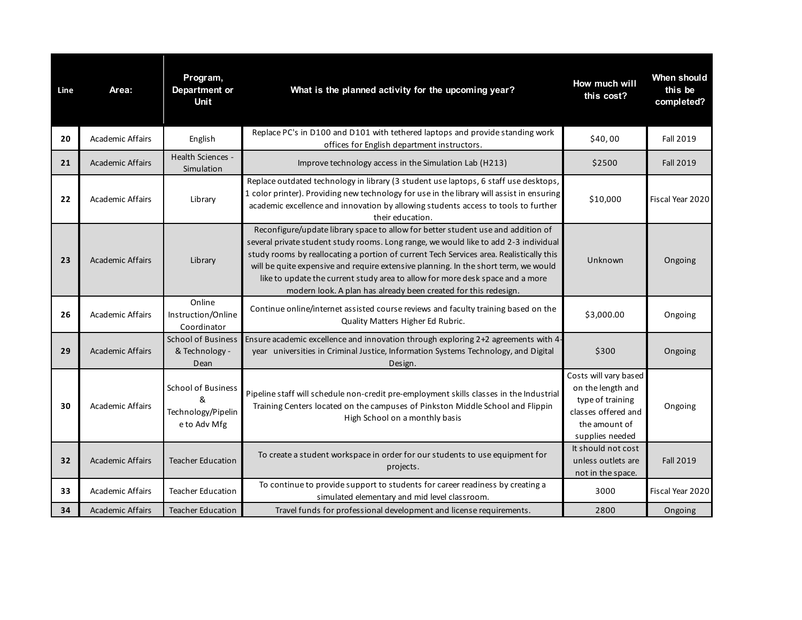| Line | Area:                   | Program,<br>Department or<br><b>Unit</b>                             | What is the planned activity for the upcoming year?                                                                                                                                                                                                                                                                                                                                                                                                                                                            | How much will<br>this cost?                                                                                               | <b>When should</b><br>this be<br>completed? |
|------|-------------------------|----------------------------------------------------------------------|----------------------------------------------------------------------------------------------------------------------------------------------------------------------------------------------------------------------------------------------------------------------------------------------------------------------------------------------------------------------------------------------------------------------------------------------------------------------------------------------------------------|---------------------------------------------------------------------------------------------------------------------------|---------------------------------------------|
| 20   | <b>Academic Affairs</b> | English                                                              | Replace PC's in D100 and D101 with tethered laptops and provide standing work<br>offices for English department instructors.                                                                                                                                                                                                                                                                                                                                                                                   | \$40,00                                                                                                                   | Fall 2019                                   |
| 21   | <b>Academic Affairs</b> | <b>Health Sciences -</b><br>Simulation                               | Improve technology access in the Simulation Lab (H213)                                                                                                                                                                                                                                                                                                                                                                                                                                                         | \$2500                                                                                                                    | <b>Fall 2019</b>                            |
| 22   | <b>Academic Affairs</b> | Library                                                              | Replace outdated technology in library (3 student use laptops, 6 staff use desktops,<br>1 color printer). Providing new technology for use in the library will assist in ensuring<br>academic excellence and innovation by allowing students access to tools to further<br>their education.                                                                                                                                                                                                                    | \$10,000                                                                                                                  | Fiscal Year 2020                            |
| 23   | <b>Academic Affairs</b> | Library                                                              | Reconfigure/update library space to allow for better student use and addition of<br>several private student study rooms. Long range, we would like to add 2-3 individual<br>study rooms by reallocating a portion of current Tech Services area. Realistically this<br>will be quite expensive and require extensive planning. In the short term, we would<br>like to update the current study area to allow for more desk space and a more<br>modern look. A plan has already been created for this redesign. | Unknown                                                                                                                   | Ongoing                                     |
| 26   | <b>Academic Affairs</b> | Online<br>Instruction/Online<br>Coordinator                          | Continue online/internet assisted course reviews and faculty training based on the<br>Quality Matters Higher Ed Rubric.                                                                                                                                                                                                                                                                                                                                                                                        | \$3,000.00                                                                                                                | Ongoing                                     |
| 29   | <b>Academic Affairs</b> | <b>School of Business</b><br>& Technology -<br>Dean                  | Ensure academic excellence and innovation through exploring 2+2 agreements with 4-<br>year universities in Criminal Justice, Information Systems Technology, and Digital<br>Design.                                                                                                                                                                                                                                                                                                                            | \$300                                                                                                                     | Ongoing                                     |
| 30   | <b>Academic Affairs</b> | <b>School of Business</b><br>&<br>Technology/Pipelin<br>e to Adv Mfg | Pipeline staff will schedule non-credit pre-employment skills classes in the Industrial<br>Training Centers located on the campuses of Pinkston Middle School and Flippin<br>High School on a monthly basis                                                                                                                                                                                                                                                                                                    | Costs will vary based<br>on the length and<br>type of training<br>classes offered and<br>the amount of<br>supplies needed | Ongoing                                     |
| 32   | <b>Academic Affairs</b> | <b>Teacher Education</b>                                             | To create a student workspace in order for our students to use equipment for<br>projects.                                                                                                                                                                                                                                                                                                                                                                                                                      | It should not cost<br>unless outlets are<br>not in the space.                                                             | <b>Fall 2019</b>                            |
| 33   | <b>Academic Affairs</b> | <b>Teacher Education</b>                                             | To continue to provide support to students for career readiness by creating a<br>simulated elementary and mid level classroom.                                                                                                                                                                                                                                                                                                                                                                                 | 3000                                                                                                                      | Fiscal Year 2020                            |
| 34   | <b>Academic Affairs</b> | <b>Teacher Education</b>                                             | Travel funds for professional development and license requirements.                                                                                                                                                                                                                                                                                                                                                                                                                                            | 2800                                                                                                                      | Ongoing                                     |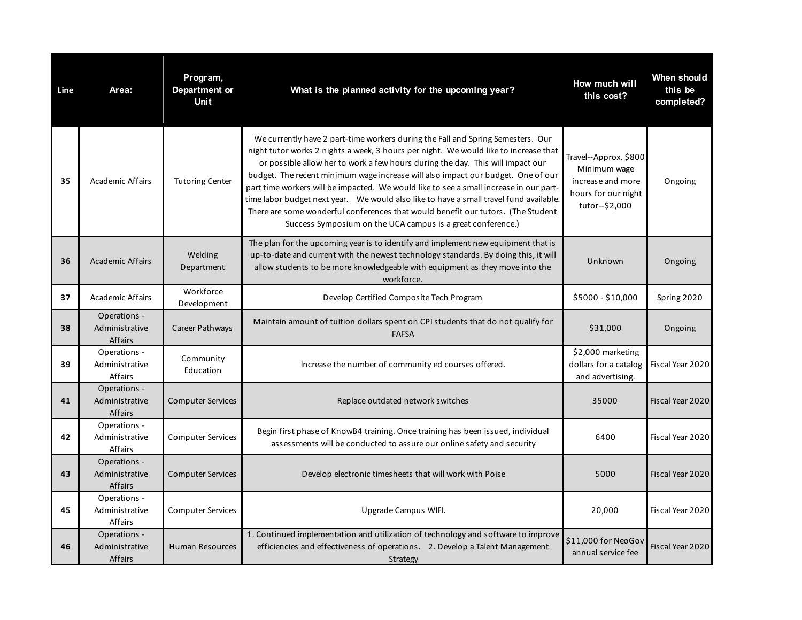| Line | Area:                                     | Program,<br>Department or<br><b>Unit</b> | What is the planned activity for the upcoming year?                                                                                                                                                                                                                                                                                                                                                                                                                                                                                                                                                                                                                                   | How much will<br>this cost?                                                                         | When should<br>this be<br>completed? |
|------|-------------------------------------------|------------------------------------------|---------------------------------------------------------------------------------------------------------------------------------------------------------------------------------------------------------------------------------------------------------------------------------------------------------------------------------------------------------------------------------------------------------------------------------------------------------------------------------------------------------------------------------------------------------------------------------------------------------------------------------------------------------------------------------------|-----------------------------------------------------------------------------------------------------|--------------------------------------|
| 35   | <b>Academic Affairs</b>                   | <b>Tutoring Center</b>                   | We currently have 2 part-time workers during the Fall and Spring Semesters. Our<br>night tutor works 2 nights a week, 3 hours per night. We would like to increase that<br>or possible allow her to work a few hours during the day. This will impact our<br>budget. The recent minimum wage increase will also impact our budget. One of our<br>part time workers will be impacted. We would like to see a small increase in our part-<br>time labor budget next year.  We would also like to have a small travel fund available.<br>There are some wonderful conferences that would benefit our tutors. (The Student<br>Success Symposium on the UCA campus is a great conference.) | Travel--Approx. \$800<br>Minimum wage<br>increase and more<br>hours for our night<br>tutor--\$2,000 | Ongoing                              |
| 36   | <b>Academic Affairs</b>                   | Welding<br>Department                    | The plan for the upcoming year is to identify and implement new equipment that is<br>up-to-date and current with the newest technology standards. By doing this, it will<br>allow students to be more knowledgeable with equipment as they move into the<br>workforce.                                                                                                                                                                                                                                                                                                                                                                                                                | Unknown                                                                                             | Ongoing                              |
| 37   | <b>Academic Affairs</b>                   | Workforce<br>Development                 | Develop Certified Composite Tech Program                                                                                                                                                                                                                                                                                                                                                                                                                                                                                                                                                                                                                                              | \$5000 - \$10,000                                                                                   | Spring 2020                          |
| 38   | Operations -<br>Administrative<br>Affairs | Career Pathways                          | Maintain amount of tuition dollars spent on CPI students that do not qualify for<br><b>FAFSA</b>                                                                                                                                                                                                                                                                                                                                                                                                                                                                                                                                                                                      | \$31,000                                                                                            | Ongoing                              |
| 39   | Operations -<br>Administrative<br>Affairs | Community<br>Education                   | Increase the number of community ed courses offered.                                                                                                                                                                                                                                                                                                                                                                                                                                                                                                                                                                                                                                  | \$2,000 marketing<br>dollars for a catalog<br>and advertising.                                      | Fiscal Year 2020                     |
| 41   | Operations -<br>Administrative<br>Affairs | <b>Computer Services</b>                 | Replace outdated network switches                                                                                                                                                                                                                                                                                                                                                                                                                                                                                                                                                                                                                                                     | 35000                                                                                               | Fiscal Year 2020                     |
| 42   | Operations -<br>Administrative<br>Affairs | <b>Computer Services</b>                 | Begin first phase of KnowB4 training. Once training has been issued, individual<br>assessments will be conducted to assure our online safety and security                                                                                                                                                                                                                                                                                                                                                                                                                                                                                                                             | 6400                                                                                                | Fiscal Year 2020                     |
| 43   | Operations -<br>Administrative<br>Affairs | <b>Computer Services</b>                 | Develop electronic timesheets that will work with Poise                                                                                                                                                                                                                                                                                                                                                                                                                                                                                                                                                                                                                               | 5000                                                                                                | Fiscal Year 2020                     |
| 45   | Operations -<br>Administrative<br>Affairs | <b>Computer Services</b>                 | Upgrade Campus WIFI.                                                                                                                                                                                                                                                                                                                                                                                                                                                                                                                                                                                                                                                                  | 20,000                                                                                              | Fiscal Year 2020                     |
| 46   | Operations -<br>Administrative<br>Affairs | <b>Human Resources</b>                   | 1. Continued implementation and utilization of technology and software to improve<br>efficiencies and effectiveness of operations. 2. Develop a Talent Management<br>Strategy                                                                                                                                                                                                                                                                                                                                                                                                                                                                                                         | \$11,000 for NeoGov<br>annual service fee                                                           | Fiscal Year 2020                     |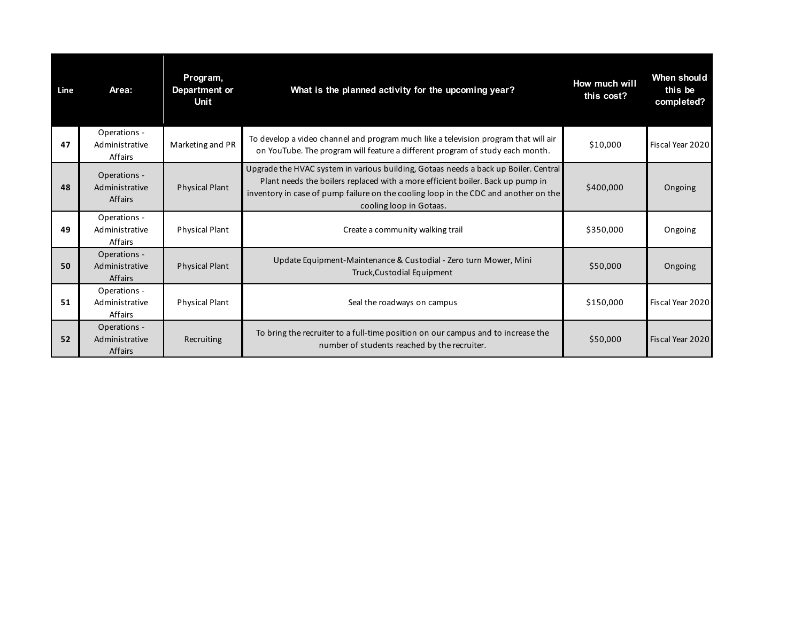| Line | Area:                                            | Program,<br>Department or<br>Unit | What is the planned activity for the upcoming year?                                                                                                                                                                                                                                     | How much will<br>this cost? | When should<br>this be<br>completed? |
|------|--------------------------------------------------|-----------------------------------|-----------------------------------------------------------------------------------------------------------------------------------------------------------------------------------------------------------------------------------------------------------------------------------------|-----------------------------|--------------------------------------|
| 47   | Operations -<br>Administrative<br>Affairs        | Marketing and PR                  | To develop a video channel and program much like a television program that will air<br>on YouTube. The program will feature a different program of study each month.                                                                                                                    | \$10,000                    | Fiscal Year 2020                     |
| 48   | Operations -<br>Administrative<br><b>Affairs</b> | <b>Physical Plant</b>             | Upgrade the HVAC system in various building, Gotaas needs a back up Boiler. Central<br>Plant needs the boilers replaced with a more efficient boiler. Back up pump in<br>inventory in case of pump failure on the cooling loop in the CDC and another on the<br>cooling loop in Gotaas. | \$400,000                   | Ongoing                              |
| 49   | Operations -<br>Administrative<br>Affairs        | <b>Physical Plant</b>             | Create a community walking trail                                                                                                                                                                                                                                                        | \$350,000                   | Ongoing                              |
| 50   | Operations -<br>Administrative<br><b>Affairs</b> | <b>Physical Plant</b>             | Update Equipment-Maintenance & Custodial - Zero turn Mower, Mini<br>Truck, Custodial Equipment                                                                                                                                                                                          | \$50,000                    | Ongoing                              |
| 51   | Operations -<br>Administrative<br>Affairs        | <b>Physical Plant</b>             | Seal the roadways on campus                                                                                                                                                                                                                                                             | \$150,000                   | Fiscal Year 2020                     |
| 52   | Operations -<br>Administrative<br><b>Affairs</b> | Recruiting                        | To bring the recruiter to a full-time position on our campus and to increase the<br>number of students reached by the recruiter.                                                                                                                                                        | \$50,000                    | Fiscal Year 2020                     |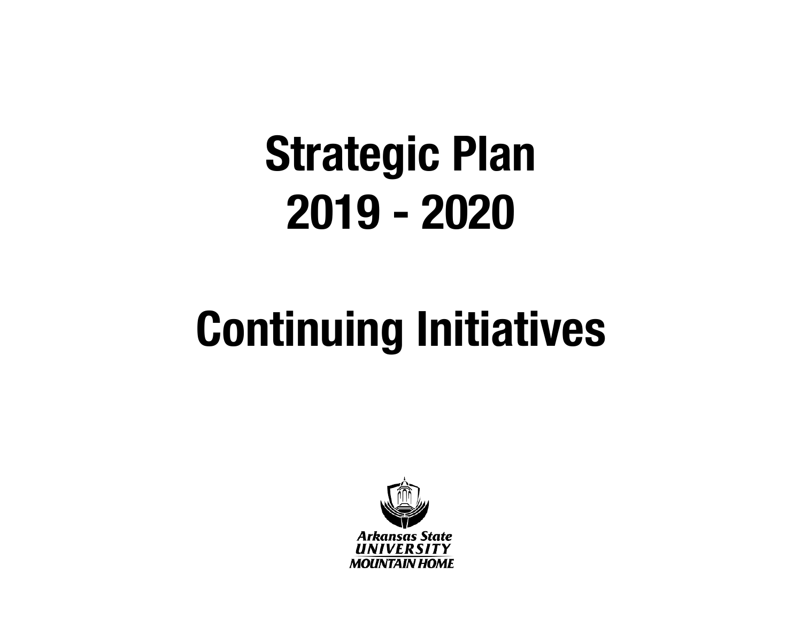## **Continuing Initiatives**

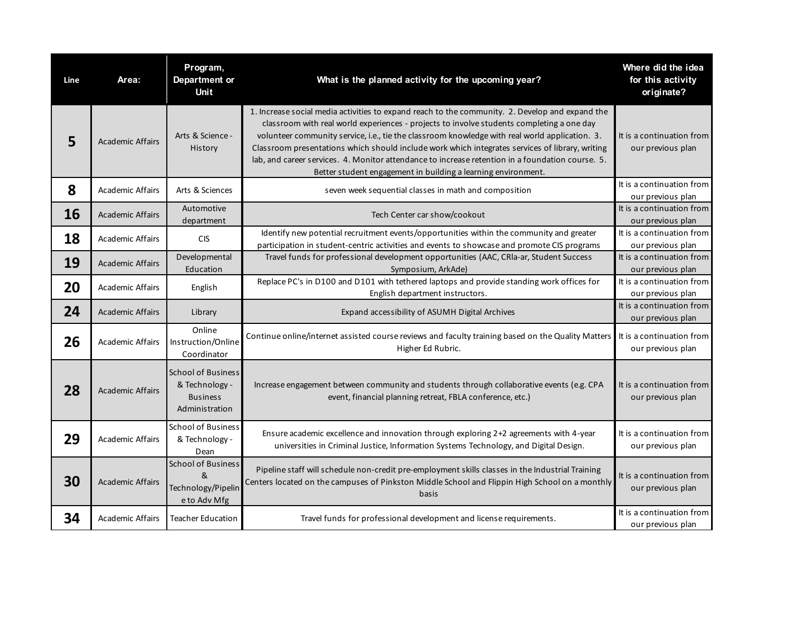| Line | Area:                   | Program,<br>Department or<br><b>Unit</b>                                         | What is the planned activity for the upcoming year?                                                                                                                                                                                                                                                                                                                                                                                                                                                                                                                    | Where did the idea<br>for this activity<br>originate? |
|------|-------------------------|----------------------------------------------------------------------------------|------------------------------------------------------------------------------------------------------------------------------------------------------------------------------------------------------------------------------------------------------------------------------------------------------------------------------------------------------------------------------------------------------------------------------------------------------------------------------------------------------------------------------------------------------------------------|-------------------------------------------------------|
| 5    | <b>Academic Affairs</b> | Arts & Science -<br>History                                                      | 1. Increase social media activities to expand reach to the community. 2. Develop and expand the<br>classroom with real world experiences - projects to involve students completing a one day<br>volunteer community service, i.e., tie the classroom knowledge with real world application. 3.<br>Classroom presentations which should include work which integrates services of library, writing<br>lab, and career services. 4. Monitor attendance to increase retention in a foundation course. 5.<br>Better student engagement in building a learning environment. | It is a continuation from<br>our previous plan        |
| 8    | <b>Academic Affairs</b> | Arts & Sciences                                                                  | seven week sequential classes in math and composition                                                                                                                                                                                                                                                                                                                                                                                                                                                                                                                  | It is a continuation from<br>our previous plan        |
| 16   | <b>Academic Affairs</b> | Automotive<br>department                                                         | Tech Center car show/cookout                                                                                                                                                                                                                                                                                                                                                                                                                                                                                                                                           | It is a continuation from<br>our previous plan        |
| 18   | <b>Academic Affairs</b> | <b>CIS</b>                                                                       | Identify new potential recruitment events/opportunities within the community and greater<br>participation in student-centric activities and events to showcase and promote CIS programs                                                                                                                                                                                                                                                                                                                                                                                | It is a continuation from<br>our previous plan        |
| 19   | <b>Academic Affairs</b> | Developmental<br>Education                                                       | Travel funds for professional development opportunities (AAC, CRIa-ar, Student Success<br>Symposium, ArkAde)                                                                                                                                                                                                                                                                                                                                                                                                                                                           | It is a continuation from<br>our previous plan        |
| 20   | <b>Academic Affairs</b> | English                                                                          | Replace PC's in D100 and D101 with tethered laptops and provide standing work offices for<br>English department instructors.                                                                                                                                                                                                                                                                                                                                                                                                                                           | It is a continuation from<br>our previous plan        |
| 24   | <b>Academic Affairs</b> | Library                                                                          | Expand accessibility of ASUMH Digital Archives                                                                                                                                                                                                                                                                                                                                                                                                                                                                                                                         | It is a continuation from<br>our previous plan        |
| 26   | Academic Affairs        | Online<br>Instruction/Online<br>Coordinator                                      | Continue online/internet assisted course reviews and faculty training based on the Quality Matters<br>Higher Ed Rubric.                                                                                                                                                                                                                                                                                                                                                                                                                                                | It is a continuation from<br>our previous plan        |
| 28   | <b>Academic Affairs</b> | <b>School of Business</b><br>& Technology -<br><b>Business</b><br>Administration | Increase engagement between community and students through collaborative events (e.g. CPA<br>event, financial planning retreat, FBLA conference, etc.)                                                                                                                                                                                                                                                                                                                                                                                                                 | It is a continuation from<br>our previous plan        |
| 29   | <b>Academic Affairs</b> | <b>School of Business</b><br>& Technology -<br>Dean                              | Ensure academic excellence and innovation through exploring 2+2 agreements with 4-year<br>universities in Criminal Justice, Information Systems Technology, and Digital Design.                                                                                                                                                                                                                                                                                                                                                                                        | It is a continuation from<br>our previous plan        |
| 30   | <b>Academic Affairs</b> | <b>School of Business</b><br>&<br>Technology/Pipelin<br>e to Adv Mfg             | Pipeline staff will schedule non-credit pre-employment skills classes in the Industrial Training<br>Centers located on the campuses of Pinkston Middle School and Flippin High School on a monthly<br>basis                                                                                                                                                                                                                                                                                                                                                            | It is a continuation from<br>our previous plan        |
| 34   | <b>Academic Affairs</b> | <b>Teacher Education</b>                                                         | Travel funds for professional development and license requirements.                                                                                                                                                                                                                                                                                                                                                                                                                                                                                                    | It is a continuation from<br>our previous plan        |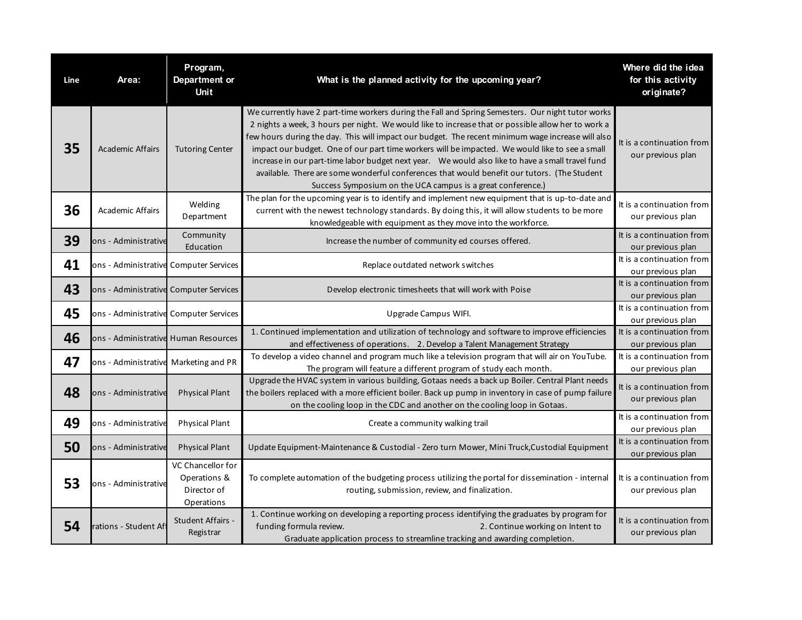| Line | Area:                                  | Program,<br>Department or<br><b>Unit</b>                       | What is the planned activity for the upcoming year?                                                                                                                                                                                                                                                                                                                                                                                                                                                                                                                                                                                                                              | Where did the idea<br>for this activity<br>originate? |
|------|----------------------------------------|----------------------------------------------------------------|----------------------------------------------------------------------------------------------------------------------------------------------------------------------------------------------------------------------------------------------------------------------------------------------------------------------------------------------------------------------------------------------------------------------------------------------------------------------------------------------------------------------------------------------------------------------------------------------------------------------------------------------------------------------------------|-------------------------------------------------------|
| 35   | <b>Academic Affairs</b>                | <b>Tutoring Center</b>                                         | We currently have 2 part-time workers during the Fall and Spring Semesters. Our night tutor works<br>2 nights a week, 3 hours per night. We would like to increase that or possible allow her to work a<br>few hours during the day. This will impact our budget. The recent minimum wage increase will also<br>impact our budget. One of our part time workers will be impacted. We would like to see a small<br>increase in our part-time labor budget next year. We would also like to have a small travel fund<br>available. There are some wonderful conferences that would benefit our tutors. (The Student<br>Success Symposium on the UCA campus is a great conference.) | It is a continuation from<br>our previous plan        |
| 36   | <b>Academic Affairs</b>                | Welding<br>Department                                          | The plan for the upcoming year is to identify and implement new equipment that is up-to-date and<br>current with the newest technology standards. By doing this, it will allow students to be more<br>knowledgeable with equipment as they move into the workforce.                                                                                                                                                                                                                                                                                                                                                                                                              | It is a continuation from<br>our previous plan        |
| 39   | ons - Administrative                   | Community<br>Education                                         | Increase the number of community ed courses offered.                                                                                                                                                                                                                                                                                                                                                                                                                                                                                                                                                                                                                             | It is a continuation from<br>our previous plan        |
| 41   | ons - Administrative Computer Services |                                                                | Replace outdated network switches                                                                                                                                                                                                                                                                                                                                                                                                                                                                                                                                                                                                                                                | It is a continuation from<br>our previous plan        |
| 43   | ons - Administrative Computer Services |                                                                | Develop electronic timesheets that will work with Poise                                                                                                                                                                                                                                                                                                                                                                                                                                                                                                                                                                                                                          | It is a continuation from<br>our previous plan        |
| 45   | ons - Administrative Computer Services |                                                                | Upgrade Campus WIFI.                                                                                                                                                                                                                                                                                                                                                                                                                                                                                                                                                                                                                                                             | It is a continuation from<br>our previous plan        |
| 46   | ons - Administrative Human Resources   |                                                                | 1. Continued implementation and utilization of technology and software to improve efficiencies<br>and effectiveness of operations. 2. Develop a Talent Management Strategy                                                                                                                                                                                                                                                                                                                                                                                                                                                                                                       | It is a continuation from<br>our previous plan        |
| 47   | ons - Administrative Marketing and PR  |                                                                | To develop a video channel and program much like a television program that will air on YouTube.<br>The program will feature a different program of study each month.                                                                                                                                                                                                                                                                                                                                                                                                                                                                                                             | It is a continuation from<br>our previous plan        |
| 48   | ons - Administrative                   | <b>Physical Plant</b>                                          | Upgrade the HVAC system in various building, Gotaas needs a back up Boiler. Central Plant needs<br>the boilers replaced with a more efficient boiler. Back up pump in inventory in case of pump failure<br>on the cooling loop in the CDC and another on the cooling loop in Gotaas.                                                                                                                                                                                                                                                                                                                                                                                             | It is a continuation from<br>our previous plan        |
| 49   | ons - Administrative                   | <b>Physical Plant</b>                                          | Create a community walking trail                                                                                                                                                                                                                                                                                                                                                                                                                                                                                                                                                                                                                                                 | It is a continuation from<br>our previous plan        |
| 50   | ons - Administrative                   | <b>Physical Plant</b>                                          | Update Equipment-Maintenance & Custodial - Zero turn Mower, Mini Truck, Custodial Equipment                                                                                                                                                                                                                                                                                                                                                                                                                                                                                                                                                                                      | It is a continuation from<br>our previous plan        |
| 53   | ons - Administrative                   | VC Chancellor for<br>Operations &<br>Director of<br>Operations | To complete automation of the budgeting process utilizing the portal for dissemination - internal<br>routing, submission, review, and finalization.                                                                                                                                                                                                                                                                                                                                                                                                                                                                                                                              | It is a continuation from<br>our previous plan        |
| 54   | ations - Student Afl                   | Student Affairs -<br>Registrar                                 | 1. Continue working on developing a reporting process identifying the graduates by program for<br>2. Continue working on Intent to<br>funding formula review.<br>Graduate application process to streamline tracking and awarding completion.                                                                                                                                                                                                                                                                                                                                                                                                                                    | It is a continuation from<br>our previous plan        |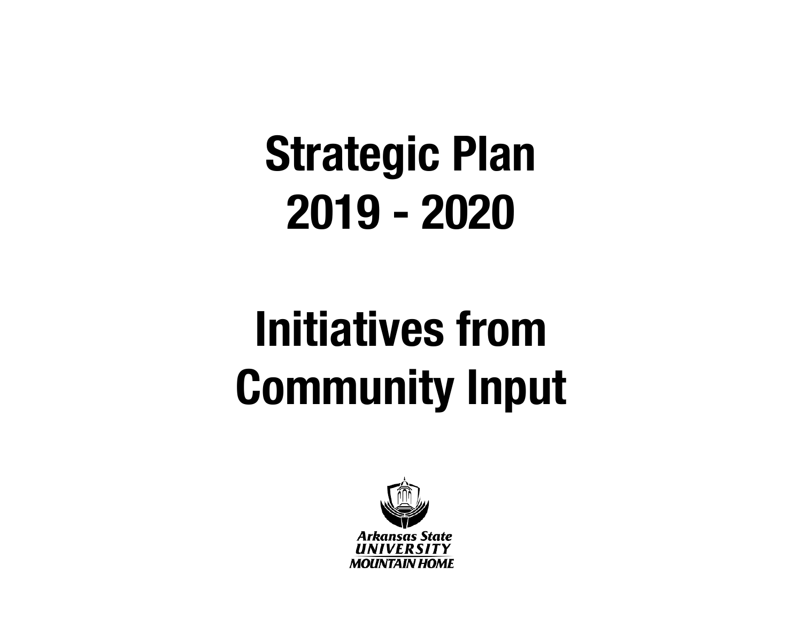# **Initiatives from Community Input**

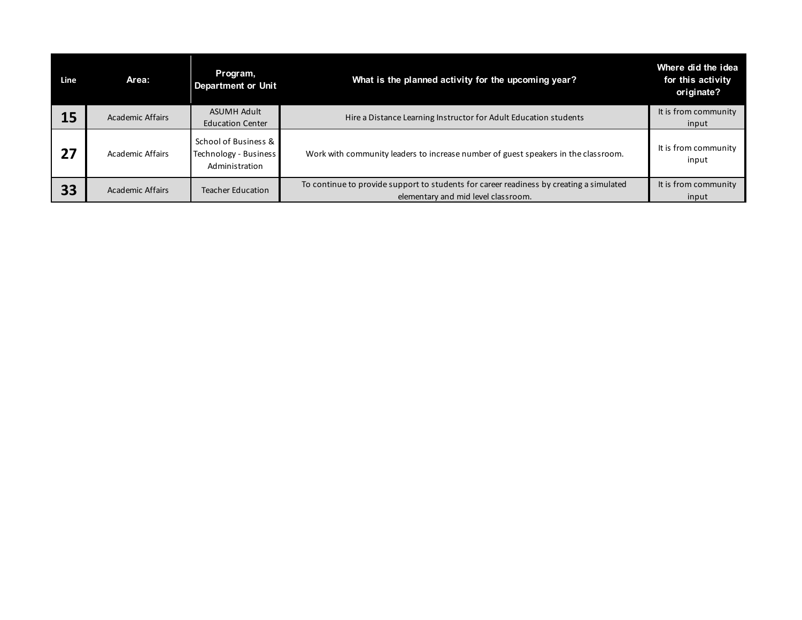| Line | Area:            | Program,<br><b>Department or Unit</b>                           | What is the planned activity for the upcoming year?                                                                            | Where did the idea<br>for this activity<br>originate? |
|------|------------------|-----------------------------------------------------------------|--------------------------------------------------------------------------------------------------------------------------------|-------------------------------------------------------|
| 15   | Academic Affairs | <b>ASUMH Adult</b><br><b>Education Center</b>                   | Hire a Distance Learning Instructor for Adult Education students                                                               | It is from community<br>input                         |
| 27   | Academic Affairs | School of Business &<br>Technology - Business<br>Administration | Work with community leaders to increase number of guest speakers in the classroom.                                             | It is from community<br>input                         |
| 33   | Academic Affairs | Teacher Education                                               | To continue to provide support to students for career readiness by creating a simulated<br>elementary and mid level classroom. | It is from community<br>input                         |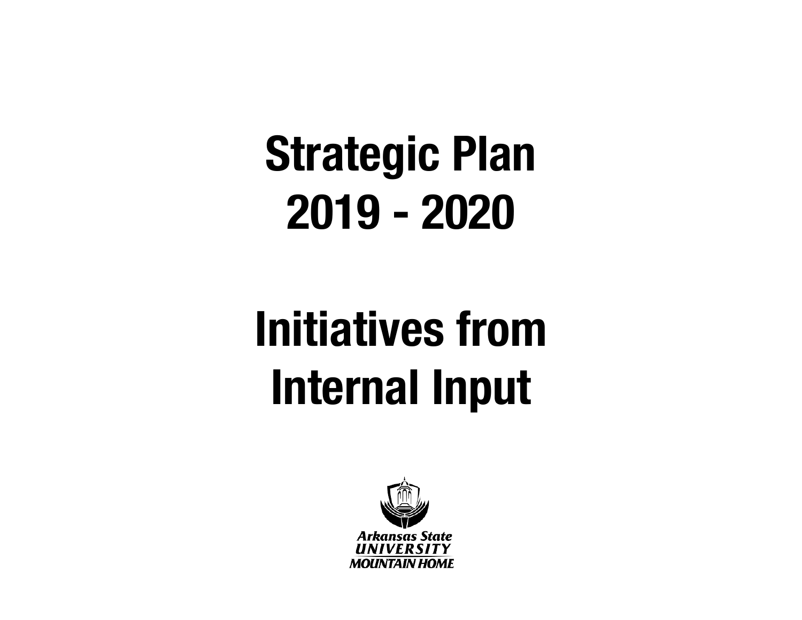# **Initiatives from Internal Input**

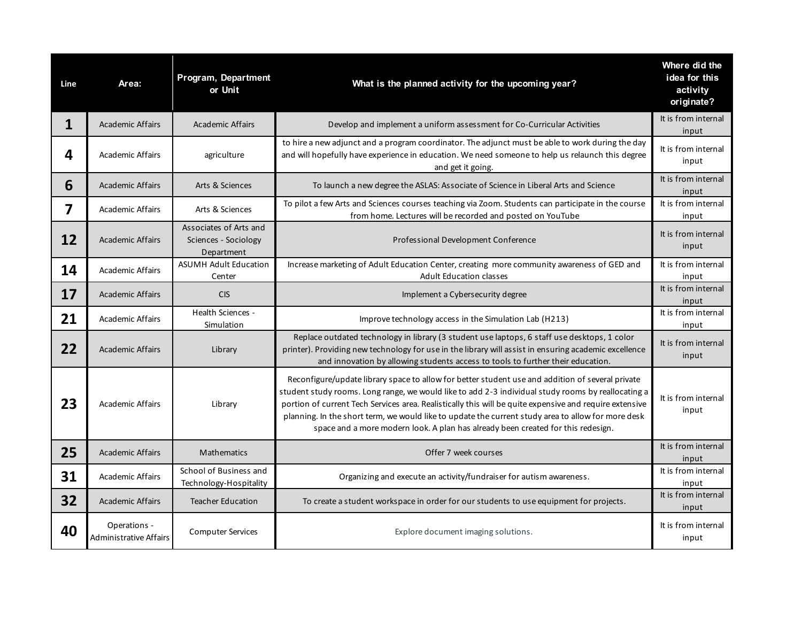| Line | Area:                                         | Program, Department<br>or Unit                               | What is the planned activity for the upcoming year?                                                                                                                                                                                                                                                                                                                                                                                                                                                         | Where did the<br>idea for this<br>activity<br>originate? |
|------|-----------------------------------------------|--------------------------------------------------------------|-------------------------------------------------------------------------------------------------------------------------------------------------------------------------------------------------------------------------------------------------------------------------------------------------------------------------------------------------------------------------------------------------------------------------------------------------------------------------------------------------------------|----------------------------------------------------------|
| 1    | <b>Academic Affairs</b>                       | <b>Academic Affairs</b>                                      | Develop and implement a uniform assessment for Co-Curricular Activities                                                                                                                                                                                                                                                                                                                                                                                                                                     | It is from internal<br>input                             |
| 4    | <b>Academic Affairs</b>                       | agriculture                                                  | to hire a new adjunct and a program coordinator. The adjunct must be able to work during the day<br>and will hopefully have experience in education. We need someone to help us relaunch this degree<br>and get it going.                                                                                                                                                                                                                                                                                   | It is from internal<br>input                             |
| 6    | <b>Academic Affairs</b>                       | Arts & Sciences                                              | To launch a new degree the ASLAS: Associate of Science in Liberal Arts and Science                                                                                                                                                                                                                                                                                                                                                                                                                          | It is from internal<br>input                             |
| 7    | <b>Academic Affairs</b>                       | Arts & Sciences                                              | To pilot a few Arts and Sciences courses teaching via Zoom. Students can participate in the course<br>from home. Lectures will be recorded and posted on YouTube                                                                                                                                                                                                                                                                                                                                            | It is from internal<br>input                             |
| 12   | <b>Academic Affairs</b>                       | Associates of Arts and<br>Sciences - Sociology<br>Department | Professional Development Conference                                                                                                                                                                                                                                                                                                                                                                                                                                                                         | It is from internal<br>input                             |
| 14   | <b>Academic Affairs</b>                       | <b>ASUMH Adult Education</b><br>Center                       | Increase marketing of Adult Education Center, creating more community awareness of GED and<br><b>Adult Education classes</b>                                                                                                                                                                                                                                                                                                                                                                                | It is from internal<br>input                             |
| 17   | <b>Academic Affairs</b>                       | <b>CIS</b>                                                   | Implement a Cybersecurity degree                                                                                                                                                                                                                                                                                                                                                                                                                                                                            | It is from internal<br>input                             |
| 21   | <b>Academic Affairs</b>                       | Health Sciences -<br>Simulation                              | Improve technology access in the Simulation Lab (H213)                                                                                                                                                                                                                                                                                                                                                                                                                                                      | It is from internal<br>input                             |
| 22   | <b>Academic Affairs</b>                       | Library                                                      | Replace outdated technology in library (3 student use laptops, 6 staff use desktops, 1 color<br>printer). Providing new technology for use in the library will assist in ensuring academic excellence<br>and innovation by allowing students access to tools to further their education.                                                                                                                                                                                                                    | It is from internal<br>input                             |
| 23   | Academic Affairs                              | Library                                                      | Reconfigure/update library space to allow for better student use and addition of several private<br>student study rooms. Long range, we would like to add 2-3 individual study rooms by reallocating a<br>portion of current Tech Services area. Realistically this will be quite expensive and require extensive<br>planning. In the short term, we would like to update the current study area to allow for more desk<br>space and a more modern look. A plan has already been created for this redesign. | It is from internal<br>input                             |
| 25   | <b>Academic Affairs</b>                       | Mathematics                                                  | Offer 7 week courses                                                                                                                                                                                                                                                                                                                                                                                                                                                                                        | It is from internal<br>input                             |
| 31   | <b>Academic Affairs</b>                       | School of Business and<br>Technology-Hospitality             | Organizing and execute an activity/fundraiser for autism awareness.                                                                                                                                                                                                                                                                                                                                                                                                                                         | It is from internal<br>input                             |
| 32   | <b>Academic Affairs</b>                       | <b>Teacher Education</b>                                     | To create a student workspace in order for our students to use equipment for projects.                                                                                                                                                                                                                                                                                                                                                                                                                      | It is from internal<br>input                             |
| 40   | Operations -<br><b>Administrative Affairs</b> | <b>Computer Services</b>                                     | Explore document imaging solutions.                                                                                                                                                                                                                                                                                                                                                                                                                                                                         | It is from internal<br>input                             |